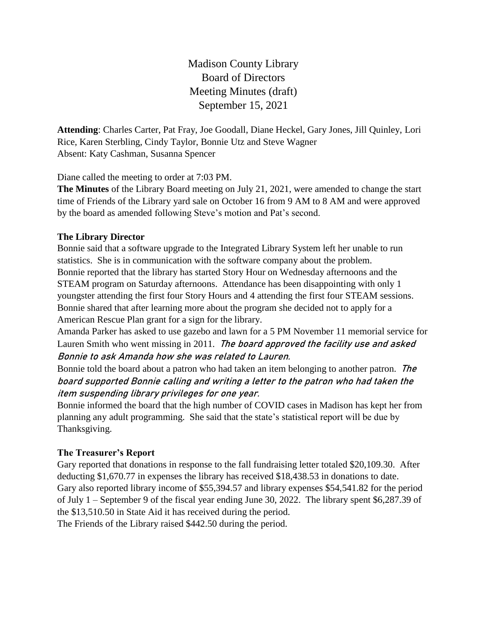Madison County Library Board of Directors Meeting Minutes (draft) September 15, 2021

**Attending**: Charles Carter, Pat Fray, Joe Goodall, Diane Heckel, Gary Jones, Jill Quinley, Lori Rice, Karen Sterbling, Cindy Taylor, Bonnie Utz and Steve Wagner Absent: Katy Cashman, Susanna Spencer

Diane called the meeting to order at 7:03 PM.

**The Minutes** of the Library Board meeting on July 21, 2021, were amended to change the start time of Friends of the Library yard sale on October 16 from 9 AM to 8 AM and were approved by the board as amended following Steve's motion and Pat's second.

## **The Library Director**

Bonnie said that a software upgrade to the Integrated Library System left her unable to run statistics. She is in communication with the software company about the problem. Bonnie reported that the library has started Story Hour on Wednesday afternoons and the STEAM program on Saturday afternoons. Attendance has been disappointing with only 1 youngster attending the first four Story Hours and 4 attending the first four STEAM sessions. Bonnie shared that after learning more about the program she decided not to apply for a American Rescue Plan grant for a sign for the library.

Amanda Parker has asked to use gazebo and lawn for a 5 PM November 11 memorial service for Lauren Smith who went missing in 2011. The board approved the facility use and asked Bonnie to ask Amanda how she was related to Lauren.

Bonnie told the board about a patron who had taken an item belonging to another patron. The board supported Bonnie calling and writing a letter to the patron who had taken the item suspending library privileges for one year.

Bonnie informed the board that the high number of COVID cases in Madison has kept her from planning any adult programming. She said that the state's statistical report will be due by Thanksgiving.

## **The Treasurer's Report**

Gary reported that donations in response to the fall fundraising letter totaled \$20,109.30. After deducting \$1,670.77 in expenses the library has received \$18,438.53 in donations to date. Gary also reported library income of \$55,394.57 and library expenses \$54,541.82 for the period of July 1 – September 9 of the fiscal year ending June 30, 2022. The library spent \$6,287.39 of the \$13,510.50 in State Aid it has received during the period. The Friends of the Library raised \$442.50 during the period.